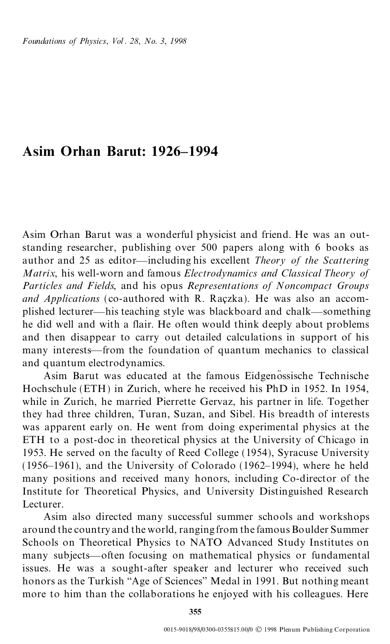## **Asim Orhan Barut: 1926±1994**

Asim Orhan Barut was a wonderful physicist and friend. He was an outstanding researcher, publishing over 500 papers along with 6 books as author and 25 as editor—including his excellent *Theory of the Scattering Matrix*, his well-worn and famous *Electrodynamics and Classical Theory of Particles and Fields*, and his opus *Representations of Noncompact Groups and Applications* (co-authored with R. Raczka). He was also an accomplished lecturer—his teaching style was blackboard and chalk—something he did well and with a flair. He often would think deeply about problems and then disappear to carry out detailed calculations in support of his many interests—from the foundation of quantum mechanics to classical and quantum electrodynamics.

Asim Barut was educated at the famous Eidgenossische Technische Hochschule (ETH) in Zurich, where he received his PhD in 1952. In 1954, while in Zurich, he married Pierrette Gervaz, his partner in life. Together they had three children, Turan, Suzan, and Sibel. His breadth of interests was apparent early on. He went from doing experimental physics at the ETH to a post-doc in theoretical physics at the University of Chicago in 1953. He served on the faculty of Reed College (1954), Syracuse University  $(1956-1961)$ , and the University of Colorado  $(1962-1994)$ , where he held many positions and received many honors, including Co-director of the Institute for Theoretical Physics, and University Distinguished Research Lecturer.

Asim also directed many successful summer schools and workshops around the country and the world, ranging from the famous Boulder Summer Schools on Theoretical Physics to NATO Advanced Study Institutes on many subjects—often focusing on mathematical physics or fundamental issues. He was a sought-after speaker and lecturer who received such honors as the Turkish "Age of Sciences" Medal in 1991. But nothing meant more to him than the collaborations he enjoyed with his colleagues. Here